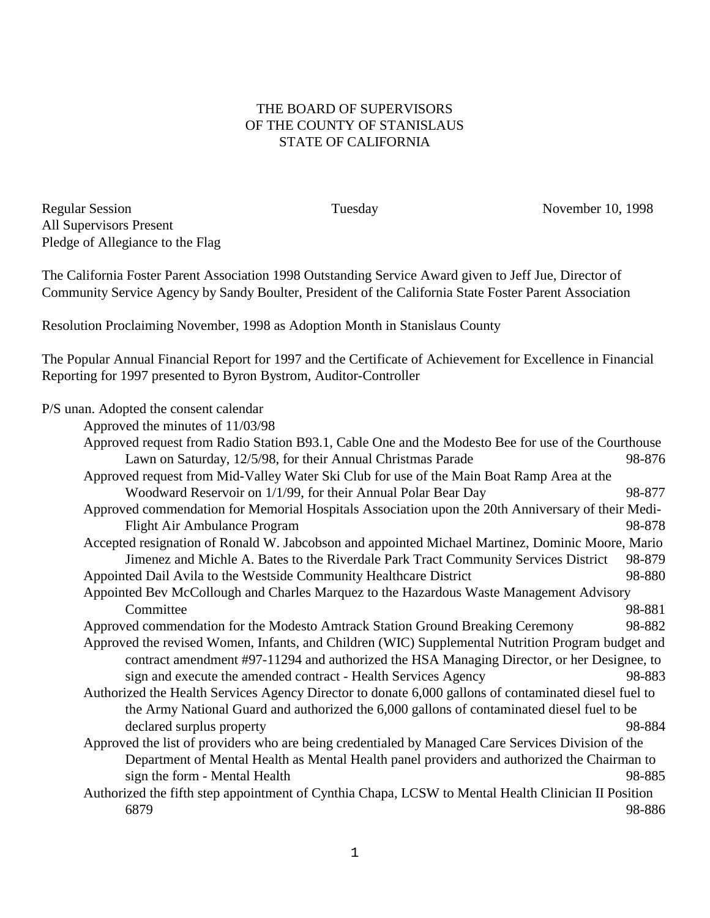## THE BOARD OF SUPERVISORS OF THE COUNTY OF STANISLAUS STATE OF CALIFORNIA

Regular Session Tuesday November 10, 1998 All Supervisors Present Pledge of Allegiance to the Flag

The California Foster Parent Association 1998 Outstanding Service Award given to Jeff Jue, Director of Community Service Agency by Sandy Boulter, President of the California State Foster Parent Association

Resolution Proclaiming November, 1998 as Adoption Month in Stanislaus County

The Popular Annual Financial Report for 1997 and the Certificate of Achievement for Excellence in Financial Reporting for 1997 presented to Byron Bystrom, Auditor-Controller

P/S unan. Adopted the consent calendar<br>Approved the minutes of  $11/03/6$  $A = \frac{11}{02}$ 

| Approved the minutes of 11/03/98                                                                      |        |  |  |
|-------------------------------------------------------------------------------------------------------|--------|--|--|
| Approved request from Radio Station B93.1, Cable One and the Modesto Bee for use of the Courthouse    |        |  |  |
| Lawn on Saturday, 12/5/98, for their Annual Christmas Parade                                          | 98-876 |  |  |
| Approved request from Mid-Valley Water Ski Club for use of the Main Boat Ramp Area at the             |        |  |  |
| Woodward Reservoir on 1/1/99, for their Annual Polar Bear Day                                         | 98-877 |  |  |
| Approved commendation for Memorial Hospitals Association upon the 20th Anniversary of their Medi-     |        |  |  |
| Flight Air Ambulance Program                                                                          | 98-878 |  |  |
| Accepted resignation of Ronald W. Jabcobson and appointed Michael Martinez, Dominic Moore, Mario      |        |  |  |
| Jimenez and Michle A. Bates to the Riverdale Park Tract Community Services District                   | 98-879 |  |  |
| Appointed Dail Avila to the Westside Community Healthcare District                                    | 98-880 |  |  |
| Appointed Bev McCollough and Charles Marquez to the Hazardous Waste Management Advisory               |        |  |  |
| Committee                                                                                             | 98-881 |  |  |
| Approved commendation for the Modesto Amtrack Station Ground Breaking Ceremony                        | 98-882 |  |  |
| Approved the revised Women, Infants, and Children (WIC) Supplemental Nutrition Program budget and     |        |  |  |
| contract amendment #97-11294 and authorized the HSA Managing Director, or her Designee, to            |        |  |  |
| sign and execute the amended contract - Health Services Agency                                        | 98-883 |  |  |
| Authorized the Health Services Agency Director to donate 6,000 gallons of contaminated diesel fuel to |        |  |  |
| the Army National Guard and authorized the 6,000 gallons of contaminated diesel fuel to be            |        |  |  |
| declared surplus property                                                                             | 98-884 |  |  |
| Approved the list of providers who are being credentialed by Managed Care Services Division of the    |        |  |  |
| Department of Mental Health as Mental Health panel providers and authorized the Chairman to           |        |  |  |
| sign the form - Mental Health                                                                         | 98-885 |  |  |
| Authorized the fifth step appointment of Cynthia Chapa, LCSW to Mental Health Clinician II Position   |        |  |  |
| 6879                                                                                                  | 98-886 |  |  |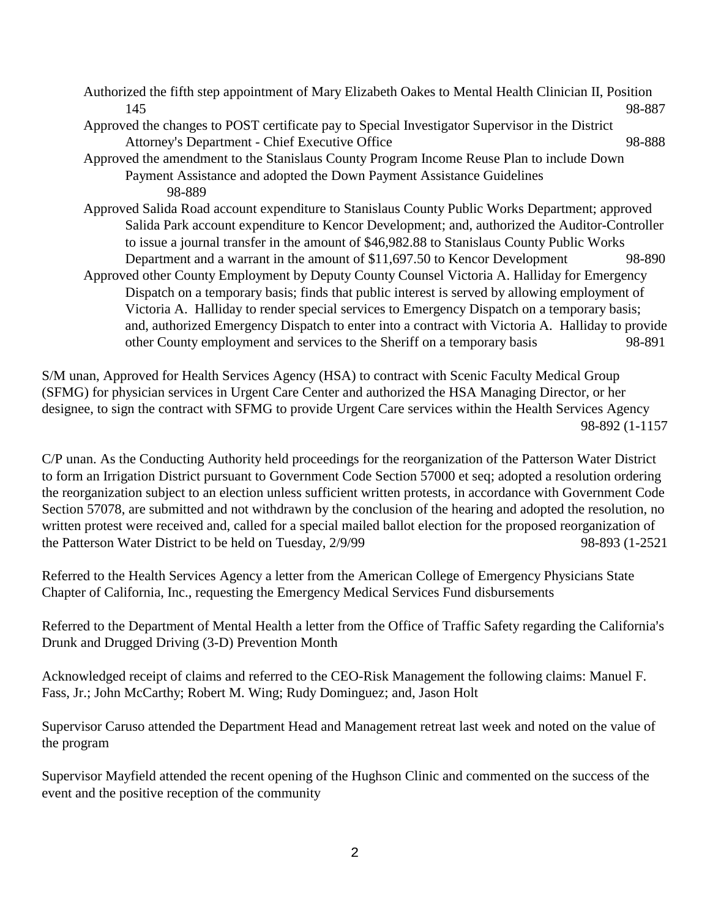| Authorized the fifth step appointment of Mary Elizabeth Oakes to Mental Health Clinician II, Position |        |  |
|-------------------------------------------------------------------------------------------------------|--------|--|
| 145                                                                                                   | 98-887 |  |
| Approved the changes to POST certificate pay to Special Investigator Supervisor in the District       |        |  |
| Attorney's Department - Chief Executive Office                                                        | 98-888 |  |
| Approved the amendment to the Stanislaus County Program Income Reuse Plan to include Down             |        |  |
| Payment Assistance and adopted the Down Payment Assistance Guidelines                                 |        |  |
| 98-889                                                                                                |        |  |
| Approved Salida Road account expenditure to Stanislaus County Public Works Department; approved       |        |  |
| Salida Park account expenditure to Kencor Development; and, authorized the Auditor-Controller         |        |  |
| to issue a journal transfer in the amount of \$46,982.88 to Stanislaus County Public Works            |        |  |
| Department and a warrant in the amount of \$11,697.50 to Kencor Development                           | 98-890 |  |
| Approved other County Employment by Deputy County Counsel Victoria A. Halliday for Emergency          |        |  |
| Dispatch on a temporary basis; finds that public interest is served by allowing employment of         |        |  |
| Victoria A. Halliday to render special services to Emergency Dispatch on a temporary basis;           |        |  |
| and, authorized Emergency Dispatch to enter into a contract with Victoria A. Halliday to provide      |        |  |
| other County employment and services to the Sheriff on a temporary basis                              | 98-891 |  |

S/M unan, Approved for Health Services Agency (HSA) to contract with Scenic Faculty Medical Group (SFMG) for physician services in Urgent Care Center and authorized the HSA Managing Director, or her designee, to sign the contract with SFMG to provide Urgent Care services within the Health Services Agency 98-892 (1-1157

C/P unan. As the Conducting Authority held proceedings for the reorganization of the Patterson Water District to form an Irrigation District pursuant to Government Code Section 57000 et seq; adopted a resolution ordering the reorganization subject to an election unless sufficient written protests, in accordance with Government Code Section 57078, are submitted and not withdrawn by the conclusion of the hearing and adopted the resolution, no written protest were received and, called for a special mailed ballot election for the proposed reorganization of the Patterson Water District to be held on Tuesday,  $2/9/99$  98-893 (1-2521

Referred to the Health Services Agency a letter from the American College of Emergency Physicians State Chapter of California, Inc., requesting the Emergency Medical Services Fund disbursements

Referred to the Department of Mental Health a letter from the Office of Traffic Safety regarding the California's Drunk and Drugged Driving (3-D) Prevention Month

Acknowledged receipt of claims and referred to the CEO-Risk Management the following claims: Manuel F. Fass, Jr.; John McCarthy; Robert M. Wing; Rudy Dominguez; and, Jason Holt

Supervisor Caruso attended the Department Head and Management retreat last week and noted on the value of the program

Supervisor Mayfield attended the recent opening of the Hughson Clinic and commented on the success of the event and the positive reception of the community